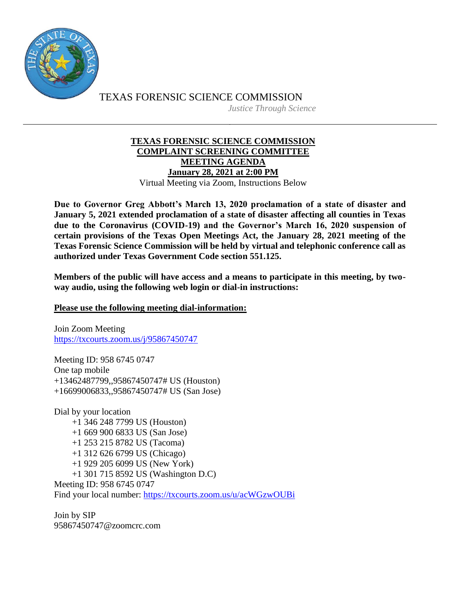

TEXAS FORENSIC SCIENCE COMMISSION *Justice Through Science*

## **TEXAS FORENSIC SCIENCE COMMISSION COMPLAINT SCREENING COMMITTEE MEETING AGENDA January 28, 2021 at 2:00 PM** Virtual Meeting via Zoom, Instructions Below

**Due to Governor Greg Abbott's March 13, 2020 proclamation of a state of disaster and January 5, 2021 extended proclamation of a state of disaster affecting all counties in Texas due to the Coronavirus (COVID-19) and the Governor's March 16, 2020 suspension of certain provisions of the Texas Open Meetings Act, the January 28, 2021 meeting of the Texas Forensic Science Commission will be held by virtual and telephonic conference call as authorized under Texas Government Code section 551.125.**

**Members of the public will have access and a means to participate in this meeting, by twoway audio, using the following web login or dial-in instructions:**

**Please use the following meeting dial-information:**

Join Zoom Meeting <https://txcourts.zoom.us/j/95867450747>

Meeting ID: 958 6745 0747 One tap mobile +13462487799,,95867450747# US (Houston) +16699006833,,95867450747# US (San Jose)

Dial by your location +1 346 248 7799 US (Houston) +1 669 900 6833 US (San Jose) +1 253 215 8782 US (Tacoma) +1 312 626 6799 US (Chicago) +1 929 205 6099 US (New York) +1 301 715 8592 US (Washington D.C) Meeting ID: 958 6745 0747 Find your local number:<https://txcourts.zoom.us/u/acWGzwOUBi>

Join by SIP 95867450747@zoomcrc.com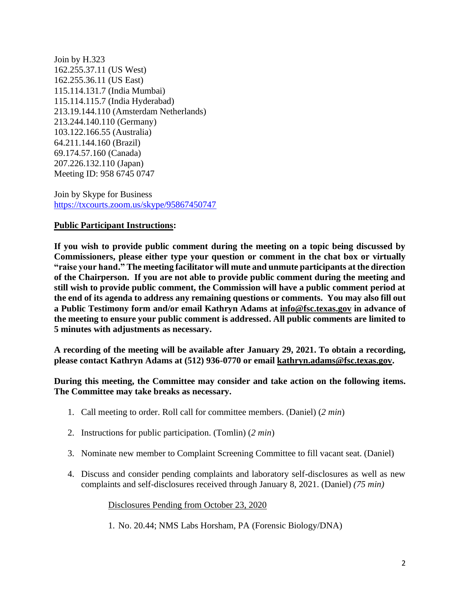Join by H.323 162.255.37.11 (US West) 162.255.36.11 (US East) 115.114.131.7 (India Mumbai) 115.114.115.7 (India Hyderabad) 213.19.144.110 (Amsterdam Netherlands) 213.244.140.110 (Germany) 103.122.166.55 (Australia) 64.211.144.160 (Brazil) 69.174.57.160 (Canada) 207.226.132.110 (Japan) Meeting ID: 958 6745 0747

Join by Skype for Business <https://txcourts.zoom.us/skype/95867450747>

## **Public Participant Instructions:**

**If you wish to provide public comment during the meeting on a topic being discussed by Commissioners, please either type your question or comment in the chat box or virtually "raise your hand." The meeting facilitator will mute and unmute participants at the direction of the Chairperson. If you are not able to provide public comment during the meeting and still wish to provide public comment, the Commission will have a public comment period at the end of its agenda to address any remaining questions or comments. You may also fill out a Public Testimony form and/or email Kathryn Adams at [info@fsc.texas.gov](mailto:info@fsc.texas.gov) in advance of the meeting to ensure your public comment is addressed. All public comments are limited to 5 minutes with adjustments as necessary.**

**A recording of the meeting will be available after January 29, 2021. To obtain a recording, please contact Kathryn Adams at (512) 936-0770 or email [kathryn.adams@fsc.texas.gov.](mailto:info@fsc.texas.gov)**

**During this meeting, the Committee may consider and take action on the following items. The Committee may take breaks as necessary.** 

- 1. Call meeting to order. Roll call for committee members. (Daniel) (*2 min*)
- 2. Instructions for public participation. (Tomlin) (*2 min*)
- 3. Nominate new member to Complaint Screening Committee to fill vacant seat. (Daniel)
- 4. Discuss and consider pending complaints and laboratory self-disclosures as well as new complaints and self-disclosures received through January 8, 2021. (Daniel) *(75 min)*

Disclosures Pending from October 23, 2020

1. No. 20.44; NMS Labs Horsham, PA (Forensic Biology/DNA)